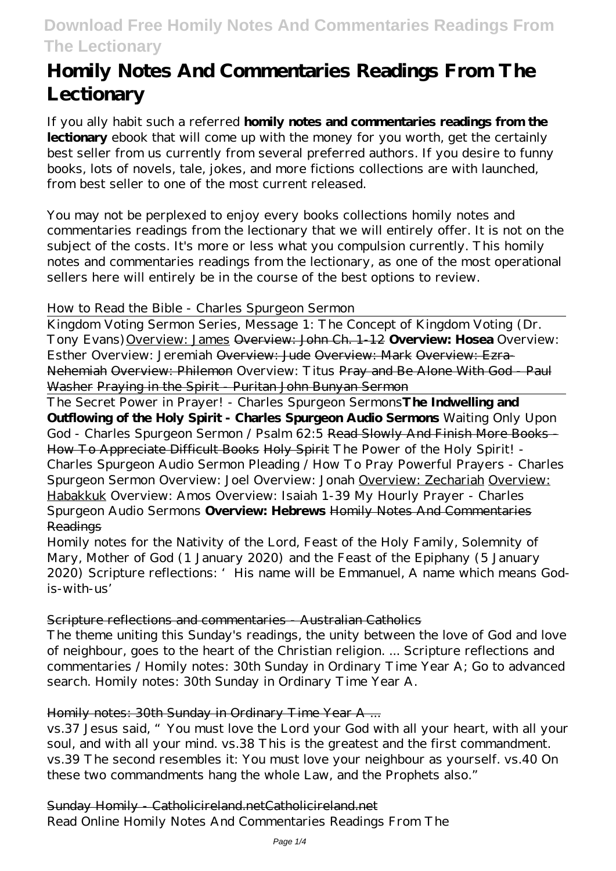# **Download Free Homily Notes And Commentaries Readings From The Lectionary**

# **Homily Notes And Commentaries Readings From The Lectionary**

If you ally habit such a referred **homily notes and commentaries readings from the lectionary** ebook that will come up with the money for you worth, get the certainly best seller from us currently from several preferred authors. If you desire to funny books, lots of novels, tale, jokes, and more fictions collections are with launched, from best seller to one of the most current released.

You may not be perplexed to enjoy every books collections homily notes and commentaries readings from the lectionary that we will entirely offer. It is not on the subject of the costs. It's more or less what you compulsion currently. This homily notes and commentaries readings from the lectionary, as one of the most operational sellers here will entirely be in the course of the best options to review.

# *How to Read the Bible - Charles Spurgeon Sermon*

Kingdom Voting Sermon Series, Message 1: The Concept of Kingdom Voting (Dr. Tony Evans)Overview: James Overview: John Ch. 1-12 **Overview: Hosea** Overview: Esther *Overview: Jeremiah* Overview: Jude Overview: Mark Overview: Ezra-Nehemiah Overview: Philemon Overview: Titus Pray and Be Alone With God - Paul Washer Praying in the Spirit - Puritan John Bunyan Sermon

The Secret Power in Prayer! - Charles Spurgeon Sermons**The Indwelling and Outflowing of the Holy Spirit - Charles Spurgeon Audio Sermons** *Waiting Only Upon God - Charles Spurgeon Sermon / Psalm 62:5* Read Slowly And Finish More Books - How To Appreciate Difficult Books Holy Spirit *The Power of the Holy Spirit! - Charles Spurgeon Audio Sermon Pleading / How To Pray Powerful Prayers - Charles Spurgeon Sermon Overview: Joel* Overview: Jonah Overview: Zechariah Overview: Habakkuk *Overview: Amos* Overview: Isaiah 1-39 My Hourly Prayer - Charles Spurgeon Audio Sermons **Overview: Hebrews** Homily Notes And Commentaries Readings

Homily notes for the Nativity of the Lord, Feast of the Holy Family, Solemnity of Mary, Mother of God (1 January 2020) and the Feast of the Epiphany (5 January 2020) Scripture reflections: 'His name will be Emmanuel, A name which means Godis-with-us'

### Scripture reflections and commentaries - Australian Catholics

The theme uniting this Sunday's readings, the unity between the love of God and love of neighbour, goes to the heart of the Christian religion. ... Scripture reflections and commentaries / Homily notes: 30th Sunday in Ordinary Time Year A; Go to advanced search. Homily notes: 30th Sunday in Ordinary Time Year A.

### Homily notes: 30th Sunday in Ordinary Time Year A ...

vs.37 Jesus said, "You must love the Lord your God with all your heart, with all your soul, and with all your mind. vs.38 This is the greatest and the first commandment. vs.39 The second resembles it: You must love your neighbour as yourself. vs.40 On these two commandments hang the whole Law, and the Prophets also."

# Sunday Homily - Catholicireland.netCatholicireland.net

Read Online Homily Notes And Commentaries Readings From The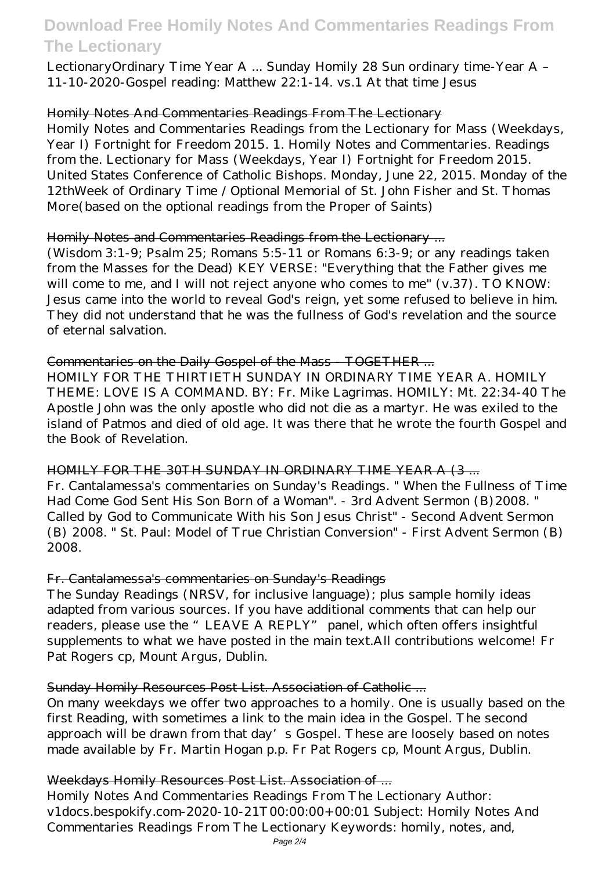# **Download Free Homily Notes And Commentaries Readings From The Lectionary**

LectionaryOrdinary Time Year A ... Sunday Homily 28 Sun ordinary time-Year A – 11-10-2020-Gospel reading: Matthew 22:1-14. vs.1 At that time Jesus

### Homily Notes And Commentaries Readings From The Lectionary

Homily Notes and Commentaries Readings from the Lectionary for Mass (Weekdays, Year I) Fortnight for Freedom 2015. 1. Homily Notes and Commentaries. Readings from the. Lectionary for Mass (Weekdays, Year I) Fortnight for Freedom 2015. United States Conference of Catholic Bishops. Monday, June 22, 2015. Monday of the 12thWeek of Ordinary Time / Optional Memorial of St. John Fisher and St. Thomas More(based on the optional readings from the Proper of Saints)

### Homily Notes and Commentaries Readings from the Lectionary ...

(Wisdom 3:1-9; Psalm 25; Romans 5:5-11 or Romans 6:3-9; or any readings taken from the Masses for the Dead) KEY VERSE: "Everything that the Father gives me will come to me, and I will not reject anyone who comes to me" (v.37). TO KNOW: Jesus came into the world to reveal God's reign, yet some refused to believe in him. They did not understand that he was the fullness of God's revelation and the source of eternal salvation.

### Commentaries on the Daily Gospel of the Mass - TOGETHER ...

HOMILY FOR THE THIRTIETH SUNDAY IN ORDINARY TIME YEAR A. HOMILY THEME: LOVE IS A COMMAND. BY: Fr. Mike Lagrimas. HOMILY: Mt. 22:34-40 The Apostle John was the only apostle who did not die as a martyr. He was exiled to the island of Patmos and died of old age. It was there that he wrote the fourth Gospel and the Book of Revelation.

# HOMILY FOR THE 30TH SUNDAY IN ORDINARY TIME YEAR A (3 ...

Fr. Cantalamessa's commentaries on Sunday's Readings. " When the Fullness of Time Had Come God Sent His Son Born of a Woman". - 3rd Advent Sermon (B)2008. " Called by God to Communicate With his Son Jesus Christ" - Second Advent Sermon (B) 2008. " St. Paul: Model of True Christian Conversion" - First Advent Sermon (B) 2008.

### Fr. Cantalamessa's commentaries on Sunday's Readings

The Sunday Readings (NRSV, for inclusive language); plus sample homily ideas adapted from various sources. If you have additional comments that can help our readers, please use the "LEAVE A REPLY" panel, which often offers insightful supplements to what we have posted in the main text.All contributions welcome! Fr Pat Rogers cp, Mount Argus, Dublin.

# Sunday Homily Resources Post List. Association of Catholic ...

On many weekdays we offer two approaches to a homily. One is usually based on the first Reading, with sometimes a link to the main idea in the Gospel. The second approach will be drawn from that day's Gospel. These are loosely based on notes made available by Fr. Martin Hogan p.p. Fr Pat Rogers cp, Mount Argus, Dublin.

# Weekdays Homily Resources Post List. Association of ...

Homily Notes And Commentaries Readings From The Lectionary Author: v1docs.bespokify.com-2020-10-21T00:00:00+00:01 Subject: Homily Notes And Commentaries Readings From The Lectionary Keywords: homily, notes, and,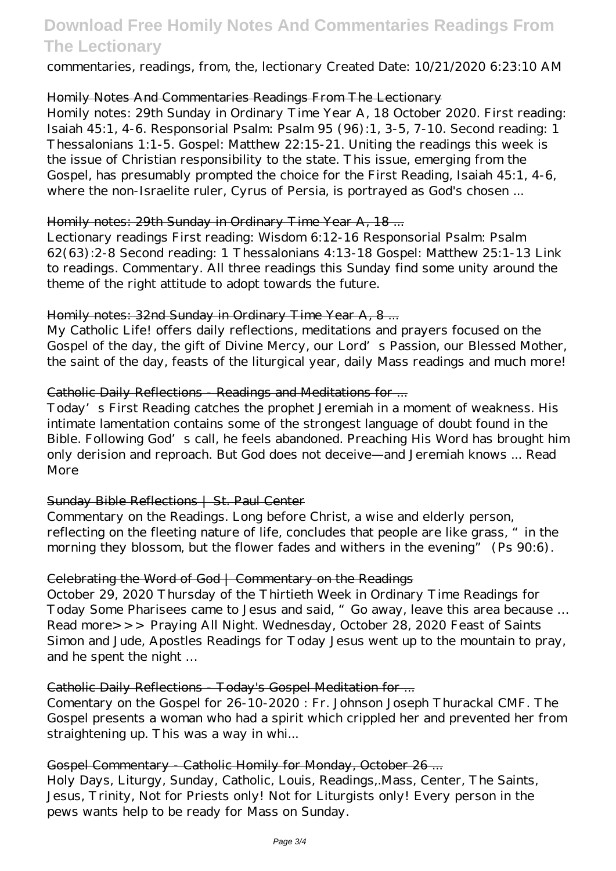# **Download Free Homily Notes And Commentaries Readings From The Lectionary**

commentaries, readings, from, the, lectionary Created Date: 10/21/2020 6:23:10 AM

# Homily Notes And Commentaries Readings From The Lectionary

Homily notes: 29th Sunday in Ordinary Time Year A, 18 October 2020. First reading: Isaiah 45:1, 4-6. Responsorial Psalm: Psalm 95 (96):1, 3-5, 7-10. Second reading: 1 Thessalonians 1:1-5. Gospel: Matthew 22:15-21. Uniting the readings this week is the issue of Christian responsibility to the state. This issue, emerging from the Gospel, has presumably prompted the choice for the First Reading, Isaiah 45:1, 4-6, where the non-Israelite ruler, Cyrus of Persia, is portrayed as God's chosen ...

### Homily notes: 29th Sunday in Ordinary Time Year A, 18 ...

Lectionary readings First reading: Wisdom 6:12-16 Responsorial Psalm: Psalm 62(63):2-8 Second reading: 1 Thessalonians 4:13-18 Gospel: Matthew 25:1-13 Link to readings. Commentary. All three readings this Sunday find some unity around the theme of the right attitude to adopt towards the future.

# Homily notes: 32nd Sunday in Ordinary Time Year A, 8 ...

My Catholic Life! offers daily reflections, meditations and prayers focused on the Gospel of the day, the gift of Divine Mercy, our Lord's Passion, our Blessed Mother, the saint of the day, feasts of the liturgical year, daily Mass readings and much more!

# Catholic Daily Reflections - Readings and Meditations for ...

Today's First Reading catches the prophet Jeremiah in a moment of weakness. His intimate lamentation contains some of the strongest language of doubt found in the Bible. Following God's call, he feels abandoned. Preaching His Word has brought him only derision and reproach. But God does not deceive—and Jeremiah knows ... Read More

# Sunday Bible Reflections | St. Paul Center

Commentary on the Readings. Long before Christ, a wise and elderly person, reflecting on the fleeting nature of life, concludes that people are like grass, "in the morning they blossom, but the flower fades and withers in the evening" (Ps 90:6).

### Celebrating the Word of God | Commentary on the Readings

October 29, 2020 Thursday of the Thirtieth Week in Ordinary Time Readings for Today Some Pharisees came to Jesus and said, "Go away, leave this area because … Read more>>> Praying All Night. Wednesday, October 28, 2020 Feast of Saints Simon and Jude, Apostles Readings for Today Jesus went up to the mountain to pray, and he spent the night …

# Catholic Daily Reflections - Today's Gospel Meditation for ...

Comentary on the Gospel for 26-10-2020 : Fr. Johnson Joseph Thurackal CMF. The Gospel presents a woman who had a spirit which crippled her and prevented her from straightening up. This was a way in whi...

### Gospel Commentary - Catholic Homily for Monday, October 26 ...

Holy Days, Liturgy, Sunday, Catholic, Louis, Readings,.Mass, Center, The Saints, Jesus, Trinity, Not for Priests only! Not for Liturgists only! Every person in the pews wants help to be ready for Mass on Sunday.